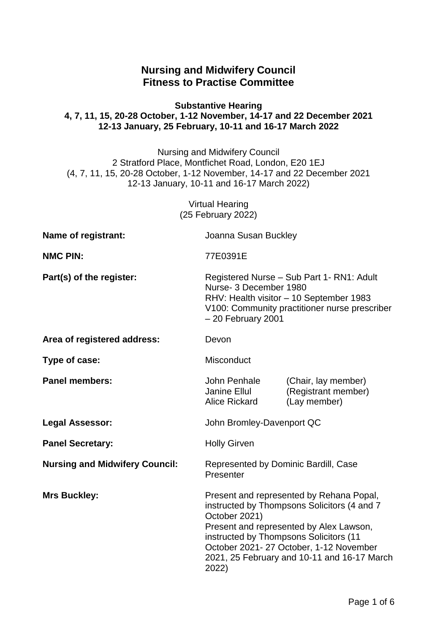# **Nursing and Midwifery Council Fitness to Practise Committee**

#### **Substantive Hearing 4, 7, 11, 15, 20-28 October, 1-12 November, 14-17 and 22 December 2021 12-13 January, 25 February, 10-11 and 16-17 March 2022**

Nursing and Midwifery Council 2 Stratford Place, Montfichet Road, London, E20 1EJ (4, 7, 11, 15, 20-28 October, 1-12 November, 14-17 and 22 December 2021 12-13 January, 10-11 and 16-17 March 2022)

> Virtual Hearing (25 February 2022)

| Name of registrant:                   | Joanna Susan Buckley                                                                                                                                                                                                                                                                            |                                                            |
|---------------------------------------|-------------------------------------------------------------------------------------------------------------------------------------------------------------------------------------------------------------------------------------------------------------------------------------------------|------------------------------------------------------------|
| <b>NMC PIN:</b>                       | 77E0391E                                                                                                                                                                                                                                                                                        |                                                            |
| Part(s) of the register:              | Registered Nurse - Sub Part 1- RN1: Adult<br>Nurse- 3 December 1980<br>RHV: Health visitor - 10 September 1983<br>V100: Community practitioner nurse prescriber<br>- 20 February 2001                                                                                                           |                                                            |
| Area of registered address:           | Devon                                                                                                                                                                                                                                                                                           |                                                            |
| Type of case:                         | <b>Misconduct</b>                                                                                                                                                                                                                                                                               |                                                            |
| <b>Panel members:</b>                 | John Penhale<br>Janine Ellul<br><b>Alice Rickard</b>                                                                                                                                                                                                                                            | (Chair, lay member)<br>(Registrant member)<br>(Lay member) |
| <b>Legal Assessor:</b>                | John Bromley-Davenport QC                                                                                                                                                                                                                                                                       |                                                            |
| <b>Panel Secretary:</b>               | <b>Holly Girven</b>                                                                                                                                                                                                                                                                             |                                                            |
| <b>Nursing and Midwifery Council:</b> | Represented by Dominic Bardill, Case<br>Presenter                                                                                                                                                                                                                                               |                                                            |
| <b>Mrs Buckley:</b>                   | Present and represented by Rehana Popal,<br>instructed by Thompsons Solicitors (4 and 7<br>October 2021)<br>Present and represented by Alex Lawson,<br>instructed by Thompsons Solicitors (11<br>October 2021-27 October, 1-12 November<br>2021, 25 February and 10-11 and 16-17 March<br>2022) |                                                            |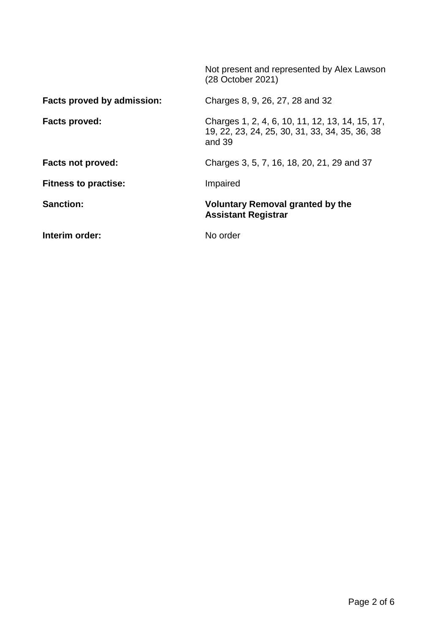|                             | Not present and represented by Alex Lawson<br>(28 October 2021)                                               |
|-----------------------------|---------------------------------------------------------------------------------------------------------------|
| Facts proved by admission:  | Charges 8, 9, 26, 27, 28 and 32                                                                               |
| Facts proved:               | Charges 1, 2, 4, 6, 10, 11, 12, 13, 14, 15, 17,<br>19, 22, 23, 24, 25, 30, 31, 33, 34, 35, 36, 38<br>and $39$ |
| <b>Facts not proved:</b>    | Charges 3, 5, 7, 16, 18, 20, 21, 29 and 37                                                                    |
| <b>Fitness to practise:</b> | Impaired                                                                                                      |
| <b>Sanction:</b>            | <b>Voluntary Removal granted by the</b><br><b>Assistant Registrar</b>                                         |
| Interim order:              | No order                                                                                                      |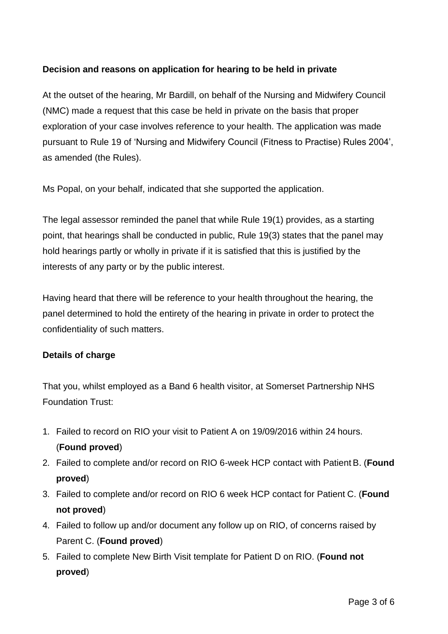## **Decision and reasons on application for hearing to be held in private**

At the outset of the hearing, Mr Bardill, on behalf of the Nursing and Midwifery Council (NMC) made a request that this case be held in private on the basis that proper exploration of your case involves reference to your health. The application was made pursuant to Rule 19 of 'Nursing and Midwifery Council (Fitness to Practise) Rules 2004', as amended (the Rules).

Ms Popal, on your behalf, indicated that she supported the application.

The legal assessor reminded the panel that while Rule 19(1) provides, as a starting point, that hearings shall be conducted in public, Rule 19(3) states that the panel may hold hearings partly or wholly in private if it is satisfied that this is justified by the interests of any party or by the public interest.

Having heard that there will be reference to your health throughout the hearing, the panel determined to hold the entirety of the hearing in private in order to protect the confidentiality of such matters.

#### **Details of charge**

That you, whilst employed as a Band 6 health visitor, at Somerset Partnership NHS Foundation Trust:

- 1. Failed to record on RIO your visit to Patient A on 19/09/2016 within 24 hours. (**Found proved**)
- 2. Failed to complete and/or record on RIO 6-week HCP contact with Patient B. (**Found proved**)
- 3. Failed to complete and/or record on RIO 6 week HCP contact for Patient C. (**Found not proved**)
- 4. Failed to follow up and/or document any follow up on RIO, of concerns raised by Parent C. (**Found proved**)
- 5. Failed to complete New Birth Visit template for Patient D on RIO. (**Found not proved**)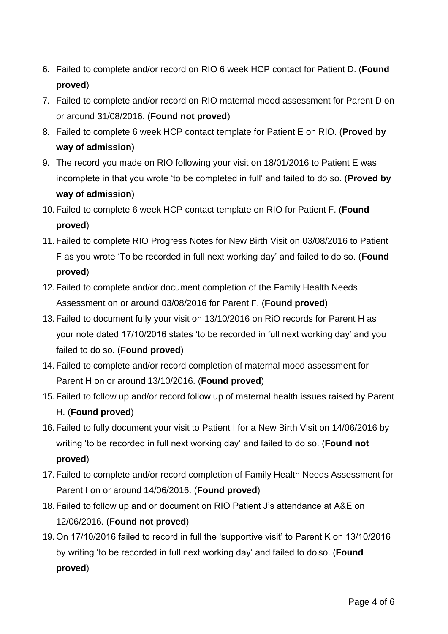- 6. Failed to complete and/or record on RIO 6 week HCP contact for Patient D. (**Found proved**)
- 7. Failed to complete and/or record on RIO maternal mood assessment for Parent D on or around 31/08/2016. (**Found not proved**)
- 8. Failed to complete 6 week HCP contact template for Patient E on RIO. (**Proved by way of admission**)
- 9. The record you made on RIO following your visit on 18/01/2016 to Patient E was incomplete in that you wrote 'to be completed in full' and failed to do so. (**Proved by way of admission**)
- 10. Failed to complete 6 week HCP contact template on RIO for Patient F. (**Found proved**)
- 11. Failed to complete RIO Progress Notes for New Birth Visit on 03/08/2016 to Patient F as you wrote 'To be recorded in full next working day' and failed to do so. (**Found proved**)
- 12. Failed to complete and/or document completion of the Family Health Needs Assessment on or around 03/08/2016 for Parent F. (**Found proved**)
- 13. Failed to document fully your visit on 13/10/2016 on RiO records for Parent H as your note dated 17/10/2016 states 'to be recorded in full next working day' and you failed to do so. (**Found proved**)
- 14. Failed to complete and/or record completion of maternal mood assessment for Parent H on or around 13/10/2016. (**Found proved**)
- 15. Failed to follow up and/or record follow up of maternal health issues raised by Parent H. (**Found proved**)
- 16. Failed to fully document your visit to Patient I for a New Birth Visit on 14/06/2016 by writing 'to be recorded in full next working day' and failed to do so. (**Found not proved**)
- 17. Failed to complete and/or record completion of Family Health Needs Assessment for Parent I on or around 14/06/2016. (**Found proved**)
- 18. Failed to follow up and or document on RIO Patient J's attendance at A&E on 12/06/2016. (**Found not proved**)
- 19. On 17/10/2016 failed to record in full the 'supportive visit' to Parent K on 13/10/2016 by writing 'to be recorded in full next working day' and failed to do so. (**Found proved**)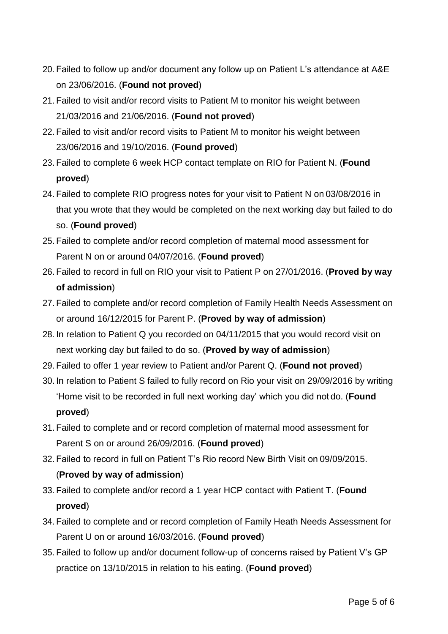- 20. Failed to follow up and/or document any follow up on Patient L's attendance at A&E on 23/06/2016. (**Found not proved**)
- 21. Failed to visit and/or record visits to Patient M to monitor his weight between 21/03/2016 and 21/06/2016. (**Found not proved**)
- 22. Failed to visit and/or record visits to Patient M to monitor his weight between 23/06/2016 and 19/10/2016. (**Found proved**)
- 23. Failed to complete 6 week HCP contact template on RIO for Patient N. (**Found proved**)
- 24. Failed to complete RIO progress notes for your visit to Patient N on 03/08/2016 in that you wrote that they would be completed on the next working day but failed to do so. (**Found proved**)
- 25. Failed to complete and/or record completion of maternal mood assessment for Parent N on or around 04/07/2016. (**Found proved**)
- 26. Failed to record in full on RIO your visit to Patient P on 27/01/2016. (**Proved by way of admission**)
- 27. Failed to complete and/or record completion of Family Health Needs Assessment on or around 16/12/2015 for Parent P. (**Proved by way of admission**)
- 28. In relation to Patient Q you recorded on 04/11/2015 that you would record visit on next working day but failed to do so. (**Proved by way of admission**)
- 29. Failed to offer 1 year review to Patient and/or Parent Q. (**Found not proved**)
- 30. In relation to Patient S failed to fully record on Rio your visit on 29/09/2016 by writing 'Home visit to be recorded in full next working day' which you did not do. (**Found proved**)
- 31. Failed to complete and or record completion of maternal mood assessment for Parent S on or around 26/09/2016. (**Found proved**)
- 32. Failed to record in full on Patient T's Rio record New Birth Visit on 09/09/2015. (**Proved by way of admission**)
- 33. Failed to complete and/or record a 1 year HCP contact with Patient T. (**Found proved**)
- 34. Failed to complete and or record completion of Family Heath Needs Assessment for Parent U on or around 16/03/2016. (**Found proved**)
- 35. Failed to follow up and/or document follow-up of concerns raised by Patient V's GP practice on 13/10/2015 in relation to his eating. (**Found proved**)